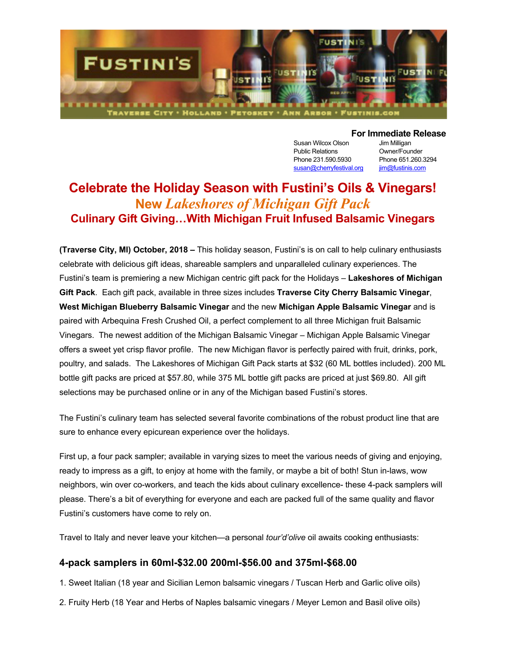

Susan Wilcox Olson Jim Milligan Public Relations **Owner/Founder** Phone 231.590.5930 Phone 651.260.3294 susan@cherryfestival.org iim@fustinis.com

#### **For Immediate Release**

# **Celebrate the Holiday Season with Fustini's Oils & Vinegars! New** *Lakeshores of Michigan Gift Pack* **Culinary Gift Giving…With Michigan Fruit Infused Balsamic Vinegars**

**(Traverse City, MI) October, 2018 –** This holiday season, Fustini's is on call to help culinary enthusiasts celebrate with delicious gift ideas, shareable samplers and unparalleled culinary experiences. The Fustini's team is premiering a new Michigan centric gift pack for the Holidays – **Lakeshores of Michigan Gift Pack**. Each gift pack, available in three sizes includes **Traverse City Cherry Balsamic Vinegar**, **West Michigan Blueberry Balsamic Vinegar** and the new **Michigan Apple Balsamic Vinegar** and is paired with Arbequina Fresh Crushed Oil, a perfect complement to all three Michigan fruit Balsamic Vinegars. The newest addition of the Michigan Balsamic Vinegar – Michigan Apple Balsamic Vinegar offers a sweet yet crisp flavor profile. The new Michigan flavor is perfectly paired with fruit, drinks, pork, poultry, and salads. The Lakeshores of Michigan Gift Pack starts at \$32 (60 ML bottles included). 200 ML bottle gift packs are priced at \$57.80, while 375 ML bottle gift packs are priced at just \$69.80. All gift selections may be purchased online or in any of the Michigan based Fustini's stores.

The Fustini's culinary team has selected several favorite combinations of the robust product line that are sure to enhance every epicurean experience over the holidays.

First up, a four pack sampler; available in varying sizes to meet the various needs of giving and enjoying, ready to impress as a gift, to enjoy at home with the family, or maybe a bit of both! Stun in-laws, wow neighbors, win over co-workers, and teach the kids about culinary excellence- these 4-pack samplers will please. There's a bit of everything for everyone and each are packed full of the same quality and flavor Fustini's customers have come to rely on.

Travel to Italy and never leave your kitchen—a personal *tour'd'olive* oil awaits cooking enthusiasts:

### **4-pack samplers in 60ml-\$32.00 200ml-\$56.00 and 375ml-\$68.00**

1. Sweet Italian (18 year and Sicilian Lemon balsamic vinegars / Tuscan Herb and Garlic olive oils)

2. Fruity Herb (18 Year and Herbs of Naples balsamic vinegars / Meyer Lemon and Basil olive oils)